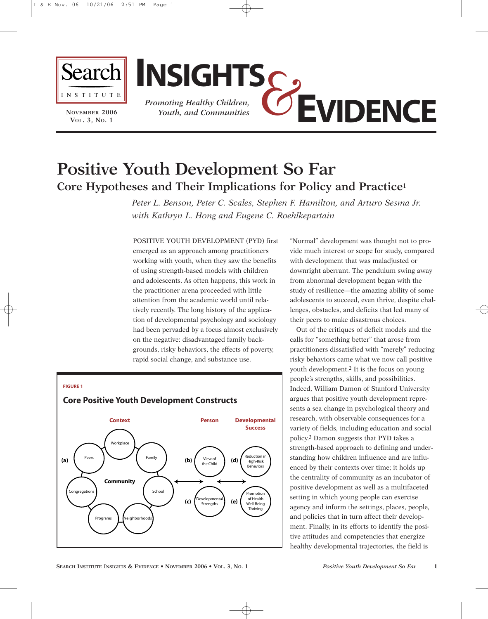

**NOVEMBER 2006 VOL. 3, NO. 1**



# **Positive Youth Development So Far Core Hypotheses and Their Implications for Policy and Practice1**

*Peter L. Benson, Peter C. Scales, Stephen F. Hamilton, and Arturo Sesma Jr. with Kathryn L. Hong and Eugene C. Roehlkepartain*

POSITIVE YOUTH DEVELOPMENT (PYD) first emerged as an approach among practitioners working with youth, when they saw the benefits of using strength-based models with children and adolescents. As often happens, this work in the practitioner arena proceeded with little attention from the academic world until relatively recently. The long history of the application of developmental psychology and sociology had been pervaded by a focus almost exclusively on the negative: disadvantaged family backgrounds, risky behaviors, the effects of poverty, rapid social change, and substance use.

#### **FIGURE 1**



# **Core Positive Youth Development Constructs**

"Normal" development was thought not to provide much interest or scope for study, compared with development that was maladjusted or downright aberrant. The pendulum swing away from abnormal development began with the study of resilience—the amazing ability of some adolescents to succeed, even thrive, despite challenges, obstacles, and deficits that led many of their peers to make disastrous choices.

Out of the critiques of deficit models and the calls for "something better" that arose from practitioners dissatisfied with "merely" reducing risky behaviors came what we now call positive youth development.2 It is the focus on young people's strengths, skills, and possibilities. Indeed, William Damon of Stanford University argues that positive youth development represents a sea change in psychological theory and research, with observable consequences for a variety of fields, including education and social policy.3 Damon suggests that PYD takes a strength-based approach to defining and understanding how children influence and are influenced by their contexts over time; it holds up the centrality of community as an incubator of positive development as well as a multifaceted setting in which young people can exercise agency and inform the settings, places, people, and policies that in turn affect their development. Finally, in its efforts to identify the positive attitudes and competencies that energize healthy developmental trajectories, the field is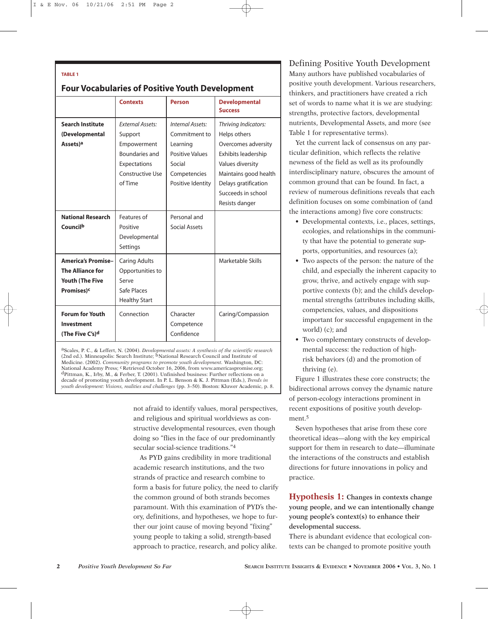#### **TABLE 1**

### **Four Vocabularies of Positive Youth Development**

|                                                                                                          | <b>Contexts</b>                                                                                                           | <b>Person</b>                                                                                                   | <b>Developmental</b><br><b>Success</b>                                                                                                                                                          |
|----------------------------------------------------------------------------------------------------------|---------------------------------------------------------------------------------------------------------------------------|-----------------------------------------------------------------------------------------------------------------|-------------------------------------------------------------------------------------------------------------------------------------------------------------------------------------------------|
| <b>Search Institute</b><br>(Developmental<br>Assets) <sup>a</sup>                                        | <b>Fxternal Assets:</b><br>Support<br>Empowerment<br><b>Boundaries and</b><br>Expectations<br>Constructive Use<br>of Time | Internal Assets:<br>Commitment to<br>Learning<br>Positive Values<br>Social<br>Competencies<br>Positive Identity | Thriving Indicators:<br>Helps others<br>Overcomes adversity<br>Exhibits leadership<br>Values diversity<br>Maintains good health<br>Delays gratification<br>Succeeds in school<br>Resists danger |
| <b>National Research</b><br>Councilb                                                                     | Features of<br>Positive<br>Developmental<br>Settings                                                                      | Personal and<br>Social Assets                                                                                   |                                                                                                                                                                                                 |
| <b>America's Promise-</b><br><b>The Alliance for</b><br><b>Youth (The Five</b><br>Promises) <sup>c</sup> | <b>Caring Adults</b><br>Opportunities to<br>Serve<br>Safe Places<br><b>Healthy Start</b>                                  |                                                                                                                 | Marketable Skills                                                                                                                                                                               |
| <b>Forum for Youth</b><br>Investment<br>(The Five C's) <sup>d</sup>                                      | Connection                                                                                                                | Character<br>Competence<br>Confidence                                                                           | Caring/Compassion                                                                                                                                                                               |

aScales, P. C., & Leffert, N. (2004). *Developmental assets: A synthesis of the scientific research* (2nd ed.). Minneapolis: Search Institute; <sup>b</sup>National Research Council and Institute of Medicine. (2002). *Community programs to promote youth development.* Washington, DC: National Academy Press; <sup>c</sup> Retrieved October 16, 2006, from www.americaspromise.org; dPittman, K., Irby, M., & Ferber, T. (2001). Unfinished business: Further reflections on a decade of promoting youth development. In P. L. Benson & K. J. Pittman (Eds.), *Trends in youth development: Visions, realities and challenges* (pp. 3–50). Boston: Kluwer Academic, p. 8.

> not afraid to identify values, moral perspectives, and religious and spiritual worldviews as constructive developmental resources, even though doing so "flies in the face of our predominantly secular social-science traditions."4

> As PYD gains credibility in more traditional academic research institutions, and the two strands of practice and research combine to form a basis for future policy, the need to clarify the common ground of both strands becomes paramount. With this examination of PYD's theory, definitions, and hypotheses, we hope to further our joint cause of moving beyond "fixing" young people to taking a solid, strength-based approach to practice, research, and policy alike.

## Defining Positive Youth Development

Many authors have published vocabularies of positive youth development. Various researchers, thinkers, and practitioners have created a rich set of words to name what it is we are studying: strengths, protective factors, developmental nutrients, Developmental Assets, and more (see Table 1 for representative terms).

Yet the current lack of consensus on any particular definition, which reflects the relative newness of the field as well as its profoundly interdisciplinary nature, obscures the amount of common ground that can be found. In fact, a review of numerous definitions reveals that each definition focuses on some combination of (and the interactions among) five core constructs:

- Developmental contexts, i.e., places, settings, ecologies, and relationships in the community that have the potential to generate supports, opportunities, and resources (a);
- Two aspects of the person: the nature of the child, and especially the inherent capacity to grow, thrive, and actively engage with supportive contexts (b); and the child's developmental strengths (attributes including skills, competencies, values, and dispositions important for successful engagement in the world) (c); and
- Two complementary constructs of developmental success: the reduction of highrisk behaviors (d) and the promotion of thriving (e).

Figure 1 illustrates these core constructs; the bidirectional arrows convey the dynamic nature of person-ecology interactions prominent in recent expositions of positive youth development.<sup>5</sup>

Seven hypotheses that arise from these core theoretical ideas—along with the key empirical support for them in research to date—illuminate the interactions of the constructs and establish directions for future innovations in policy and practice.

**Hypothesis 1: Changes in contexts change young people, and we can intentionally change young people's context(s) to enhance their developmental success.**

There is abundant evidence that ecological contexts can be changed to promote positive youth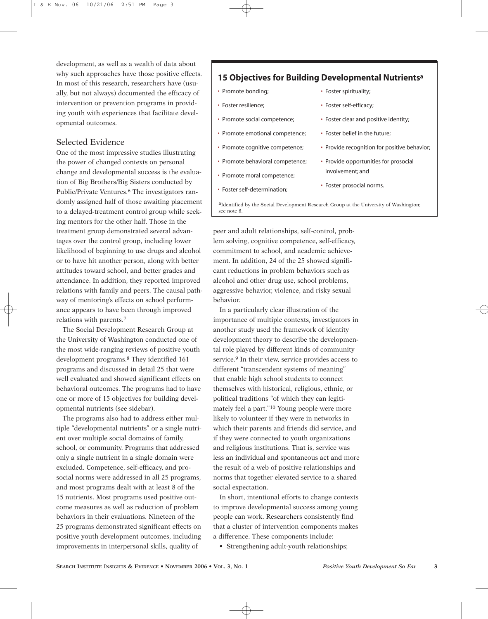development, as well as a wealth of data about why such approaches have those positive effects. In most of this research, researchers have (usually, but not always) documented the efficacy of intervention or prevention programs in providing youth with experiences that facilitate developmental outcomes.

# Selected Evidence

One of the most impressive studies illustrating the power of changed contexts on personal change and developmental success is the evaluation of Big Brothers/Big Sisters conducted by Public/Private Ventures.6 The investigators randomly assigned half of those awaiting placement to a delayed-treatment control group while seeking mentors for the other half. Those in the treatment group demonstrated several advantages over the control group, including lower likelihood of beginning to use drugs and alcohol or to have hit another person, along with better attitudes toward school, and better grades and attendance. In addition, they reported improved relations with family and peers. The causal pathway of mentoring's effects on school performance appears to have been through improved relations with parents.7

The Social Development Research Group at the University of Washington conducted one of the most wide-ranging reviews of positive youth development programs.8 They identified 161 programs and discussed in detail 25 that were well evaluated and showed significant effects on behavioral outcomes. The programs had to have one or more of 15 objectives for building developmental nutrients (see sidebar).

The programs also had to address either multiple "developmental nutrients" or a single nutrient over multiple social domains of family, school, or community. Programs that addressed only a single nutrient in a single domain were excluded. Competence, self-efficacy, and prosocial norms were addressed in all 25 programs, and most programs dealt with at least 8 of the 15 nutrients. Most programs used positive outcome measures as well as reduction of problem behaviors in their evaluations. Nineteen of the 25 programs demonstrated significant effects on positive youth development outcomes, including improvements in interpersonal skills, quality of

# **15 Objectives for Building Developmental Nutrientsa**

- Promote bonding;
- Foster resilience;
- Promote social competence;
- Promote emotional competence;
- Promote cognitive competence;
- Promote behavioral competence;
- Promote moral competence;
- Foster self-determination;
- Foster spirituality:
- Foster self-efficacy;
- Foster clear and positive identity;
- Foster belief in the future;
- Provide recognition for positive behavior;
- Provide opportunities for prosocial involvement; and
- Foster prosocial norms.

aIdentified by the Social Development Research Group at the University of Washington; see note 8.

peer and adult relationships, self-control, problem solving, cognitive competence, self-efficacy, commitment to school, and academic achievement. In addition, 24 of the 25 showed significant reductions in problem behaviors such as alcohol and other drug use, school problems, aggressive behavior, violence, and risky sexual behavior.

In a particularly clear illustration of the importance of multiple contexts, investigators in another study used the framework of identity development theory to describe the developmental role played by different kinds of community service.<sup>9</sup> In their view, service provides access to different "transcendent systems of meaning" that enable high school students to connect themselves with historical, religious, ethnic, or political traditions "of which they can legitimately feel a part."10 Young people were more likely to volunteer if they were in networks in which their parents and friends did service, and if they were connected to youth organizations and religious institutions. That is, service was less an individual and spontaneous act and more the result of a web of positive relationships and norms that together elevated service to a shared social expectation.

In short, intentional efforts to change contexts to improve developmental success among young people can work. Researchers consistently find that a cluster of intervention components makes a difference. These components include:

• Strengthening adult-youth relationships;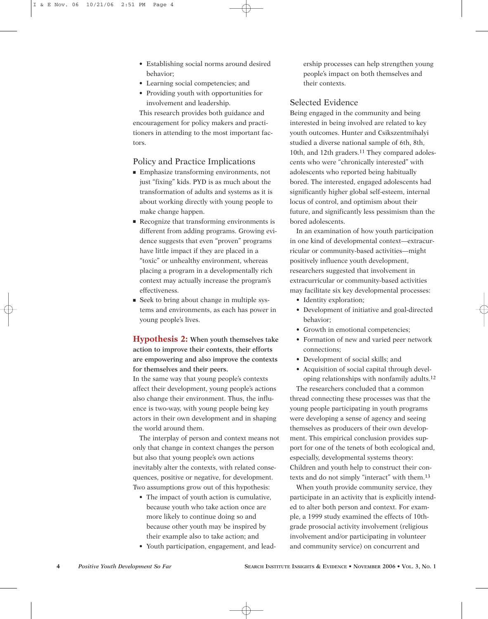- Establishing social norms around desired behavior;
- Learning social competencies; and
- Providing youth with opportunities for involvement and leadership.

This research provides both guidance and encouragement for policy makers and practitioners in attending to the most important factors.

### Policy and Practice Implications

- Emphasize transforming environments, not just "fixing" kids. PYD is as much about the transformation of adults and systems as it is about working directly with young people to make change happen.
- Recognize that transforming environments is different from adding programs. Growing evidence suggests that even "proven" programs have little impact if they are placed in a "toxic" or unhealthy environment, whereas placing a program in a developmentally rich context may actually increase the program's effectiveness.
- Seek to bring about change in multiple systems and environments, as each has power in young people's lives.

**Hypothesis 2: When youth themselves take action to improve their contexts, their efforts are empowering and also improve the contexts for themselves and their peers.**

In the same way that young people's contexts affect their development, young people's actions also change their environment. Thus, the influence is two-way, with young people being key actors in their own development and in shaping the world around them.

The interplay of person and context means not only that change in context changes the person but also that young people's own actions inevitably alter the contexts, with related consequences, positive or negative, for development. Two assumptions grow out of this hypothesis:

- The impact of youth action is cumulative, because youth who take action once are more likely to continue doing so and because other youth may be inspired by their example also to take action; and
- Youth participation, engagement, and lead-

ership processes can help strengthen young people's impact on both themselves and their contexts.

### Selected Evidence

Being engaged in the community and being interested in being involved are related to key youth outcomes. Hunter and Csikszentmihalyi studied a diverse national sample of 6th, 8th, 10th, and 12th graders.<sup>11</sup> They compared adolescents who were "chronically interested" with adolescents who reported being habitually bored. The interested, engaged adolescents had significantly higher global self-esteem, internal locus of control, and optimism about their future, and significantly less pessimism than the bored adolescents.

In an examination of how youth participation in one kind of developmental context—extracurricular or community-based activities—might positively influence youth development, researchers suggested that involvement in extracurricular or community-based activities may facilitate six key developmental processes:

- Identity exploration;
- Development of initiative and goal-directed behavior;
- Growth in emotional competencies;
- Formation of new and varied peer network connections;
- Development of social skills; and
- Acquisition of social capital through developing relationships with nonfamily adults.12

The researchers concluded that a common thread connecting these processes was that the young people participating in youth programs were developing a sense of agency and seeing themselves as producers of their own development. This empirical conclusion provides support for one of the tenets of both ecological and, especially, developmental systems theory: Children and youth help to construct their contexts and do not simply "interact" with them.13

When youth provide community service, they participate in an activity that is explicitly intended to alter both person and context. For example, a 1999 study examined the effects of 10thgrade prosocial activity involvement (religious involvement and/or participating in volunteer and community service) on concurrent and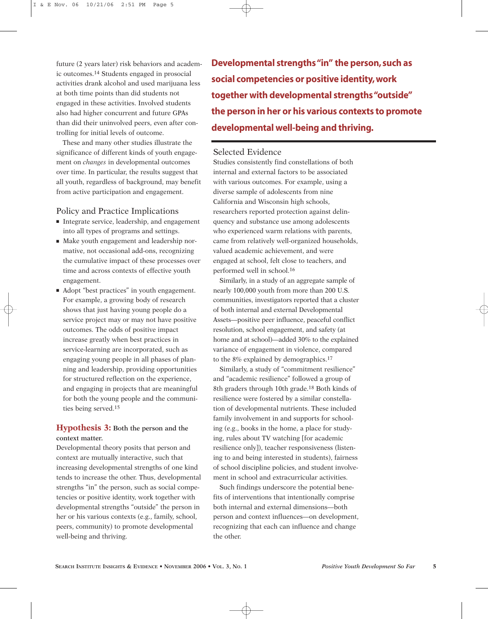future (2 years later) risk behaviors and academic outcomes.14 Students engaged in prosocial activities drank alcohol and used marijuana less at both time points than did students not engaged in these activities. Involved students also had higher concurrent and future GPAs than did their uninvolved peers, even after controlling for initial levels of outcome.

These and many other studies illustrate the significance of different kinds of youth engagement on *changes* in developmental outcomes over time. In particular, the results suggest that all youth, regardless of background, may benefit from active participation and engagement.

## Policy and Practice Implications

- Integrate service, leadership, and engagement into all types of programs and settings.
- Make youth engagement and leadership normative, not occasional add-ons, recognizing the cumulative impact of these processes over time and across contexts of effective youth engagement.
- Adopt "best practices" in youth engagement. For example, a growing body of research shows that just having young people do a service project may or may not have positive outcomes. The odds of positive impact increase greatly when best practices in service-learning are incorporated, such as engaging young people in all phases of planning and leadership, providing opportunities for structured reflection on the experience, and engaging in projects that are meaningful for both the young people and the communities being served.15

# **Hypothesis 3: Both the person and the context matter.**

Developmental theory posits that person and context are mutually interactive, such that increasing developmental strengths of one kind tends to increase the other. Thus, developmental strengths "in" the person, such as social competencies or positive identity, work together with developmental strengths "outside" the person in her or his various contexts (e.g., family, school, peers, community) to promote developmental well-being and thriving.

**Developmental strengths "in" the person, such as social competencies or positive identity, work together with developmental strengths "outside" the person in her or his various contexts to promote developmental well-being and thriving.**

# Selected Evidence

Studies consistently find constellations of both internal and external factors to be associated with various outcomes. For example, using a diverse sample of adolescents from nine California and Wisconsin high schools, researchers reported protection against delinquency and substance use among adolescents who experienced warm relations with parents, came from relatively well-organized households, valued academic achievement, and were engaged at school, felt close to teachers, and performed well in school.16

Similarly, in a study of an aggregate sample of nearly 100,000 youth from more than 200 U.S. communities, investigators reported that a cluster of both internal and external Developmental Assets—positive peer influence, peaceful conflict resolution, school engagement, and safety (at home and at school)—added 30% to the explained variance of engagement in violence, compared to the 8% explained by demographics.17

Similarly, a study of "commitment resilience" and "academic resilience" followed a group of 8th graders through 10th grade.18 Both kinds of resilience were fostered by a similar constellation of developmental nutrients. These included family involvement in and supports for schooling (e.g., books in the home, a place for studying, rules about TV watching [for academic resilience only]), teacher responsiveness (listening to and being interested in students), fairness of school discipline policies, and student involvement in school and extracurricular activities.

Such findings underscore the potential benefits of interventions that intentionally comprise both internal and external dimensions—both person and context influences—on development, recognizing that each can influence and change the other.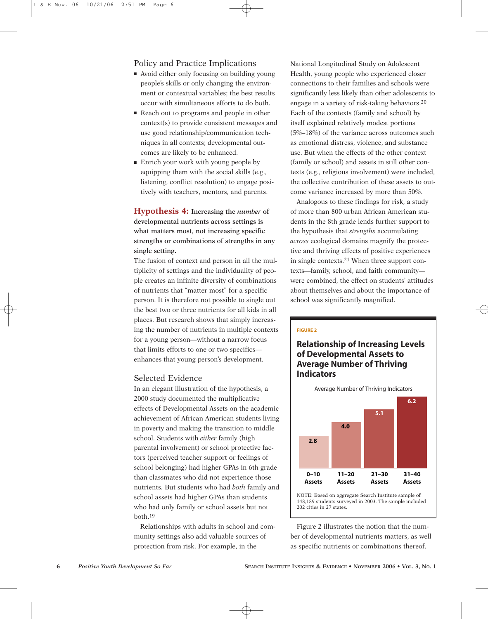### Policy and Practice Implications

- Avoid either only focusing on building young people's skills or only changing the environment or contextual variables; the best results occur with simultaneous efforts to do both.
- Reach out to programs and people in other context(s) to provide consistent messages and use good relationship/communication techniques in all contexts; developmental outcomes are likely to be enhanced.
- Enrich your work with young people by equipping them with the social skills (e.g., listening, conflict resolution) to engage positively with teachers, mentors, and parents.

**Hypothesis 4: Increasing the** *number* **of developmental nutrients across settings is what matters most, not increasing specific strengths or combinations of strengths in any single setting.**

The fusion of context and person in all the multiplicity of settings and the individuality of people creates an infinite diversity of combinations of nutrients that "matter most" for a specific person. It is therefore not possible to single out the best two or three nutrients for all kids in all places. But research shows that simply increasing the number of nutrients in multiple contexts for a young person—without a narrow focus that limits efforts to one or two specifics enhances that young person's development.

### Selected Evidence

In an elegant illustration of the hypothesis, a 2000 study documented the multiplicative effects of Developmental Assets on the academic achievement of African American students living in poverty and making the transition to middle school. Students with *either* family (high parental involvement) or school protective factors (perceived teacher support or feelings of school belonging) had higher GPAs in 6th grade than classmates who did not experience those nutrients. But students who had *both* family and school assets had higher GPAs than students who had only family or school assets but not both.19

Relationships with adults in school and community settings also add valuable sources of protection from risk. For example, in the

National Longitudinal Study on Adolescent Health, young people who experienced closer connections to their families and schools were significantly less likely than other adolescents to engage in a variety of risk-taking behaviors.20 Each of the contexts (family and school) by itself explained relatively modest portions (5%–18%) of the variance across outcomes such as emotional distress, violence, and substance use. But when the effects of the other context (family or school) and assets in still other contexts (e.g., religious involvement) were included, the collective contribution of these assets to outcome variance increased by more than 50%.

Analogous to these findings for risk, a study of more than 800 urban African American students in the 8th grade lends further support to the hypothesis that *strengths* accumulating *across* ecological domains magnify the protective and thriving effects of positive experiences in single contexts.21 When three support contexts—family, school, and faith community were combined, the effect on students' attitudes about themselves and about the importance of school was significantly magnified.

#### **FIGURE 2**

# **Relationship of Increasing Levels of Developmental Assets to Average Number of Thriving Indicators**



NOTE: Based on aggregate Search Institute sample of 148,189 students surveyed in 2003. The sample included 202 cities in 27 states.

Figure 2 illustrates the notion that the number of developmental nutrients matters, as well as specific nutrients or combinations thereof.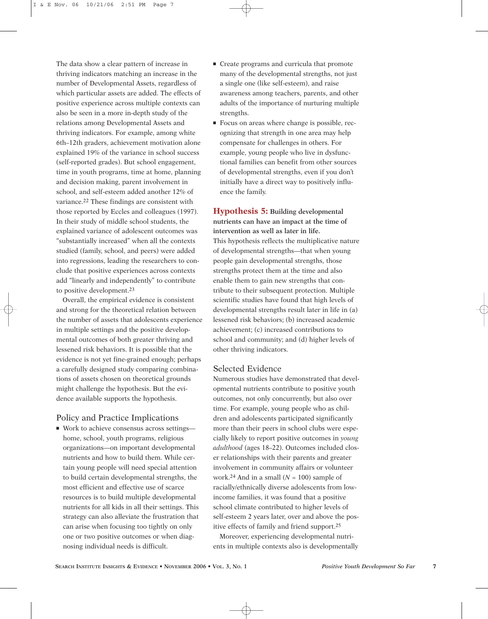The data show a clear pattern of increase in thriving indicators matching an increase in the number of Developmental Assets, regardless of which particular assets are added. The effects of positive experience across multiple contexts can also be seen in a more in-depth study of the relations among Developmental Assets and thriving indicators. For example, among white 6th–12th graders, achievement motivation alone explained 19% of the variance in school success (self-reported grades). But school engagement, time in youth programs, time at home, planning and decision making, parent involvement in school, and self-esteem added another 12% of variance.22 These findings are consistent with those reported by Eccles and colleagues (1997). In their study of middle school students, the explained variance of adolescent outcomes was "substantially increased" when all the contexts studied (family, school, and peers) were added into regressions, leading the researchers to conclude that positive experiences across contexts add "linearly and independently" to contribute to positive development.23

Overall, the empirical evidence is consistent and strong for the theoretical relation between the number of assets that adolescents experience in multiple settings and the positive developmental outcomes of both greater thriving and lessened risk behaviors. It is possible that the evidence is not yet fine-grained enough; perhaps a carefully designed study comparing combinations of assets chosen on theoretical grounds might challenge the hypothesis. But the evidence available supports the hypothesis.

# Policy and Practice Implications

■ Work to achieve consensus across settings home, school, youth programs, religious organizations—on important developmental nutrients and how to build them. While certain young people will need special attention to build certain developmental strengths, the most efficient and effective use of scarce resources is to build multiple developmental nutrients for all kids in all their settings. This strategy can also alleviate the frustration that can arise when focusing too tightly on only one or two positive outcomes or when diagnosing individual needs is difficult.

- Create programs and curricula that promote many of the developmental strengths, not just a single one (like self-esteem), and raise awareness among teachers, parents, and other adults of the importance of nurturing multiple strengths.
- Focus on areas where change is possible, recognizing that strength in one area may help compensate for challenges in others. For example, young people who live in dysfunctional families can benefit from other sources of developmental strengths, even if you don't initially have a direct way to positively influence the family.

**Hypothesis 5: Building developmental nutrients can have an impact at the time of intervention as well as later in life.** This hypothesis reflects the multiplicative nature of developmental strengths—that when young people gain developmental strengths, those strengths protect them at the time and also enable them to gain new strengths that contribute to their subsequent protection. Multiple scientific studies have found that high levels of developmental strengths result later in life in (a) lessened risk behaviors; (b) increased academic achievement; (c) increased contributions to school and community; and (d) higher levels of other thriving indicators.

# Selected Evidence

Numerous studies have demonstrated that developmental nutrients contribute to positive youth outcomes, not only concurrently, but also over time. For example, young people who as children and adolescents participated significantly more than their peers in school clubs were especially likely to report positive outcomes in *young adulthood* (ages 18–22). Outcomes included closer relationships with their parents and greater involvement in community affairs or volunteer work.24 And in a small (*N* = 100) sample of racially/ethnically diverse adolescents from lowincome families, it was found that a positive school climate contributed to higher levels of self-esteem 2 years later, over and above the positive effects of family and friend support.25

Moreover, experiencing developmental nutrients in multiple contexts also is developmentally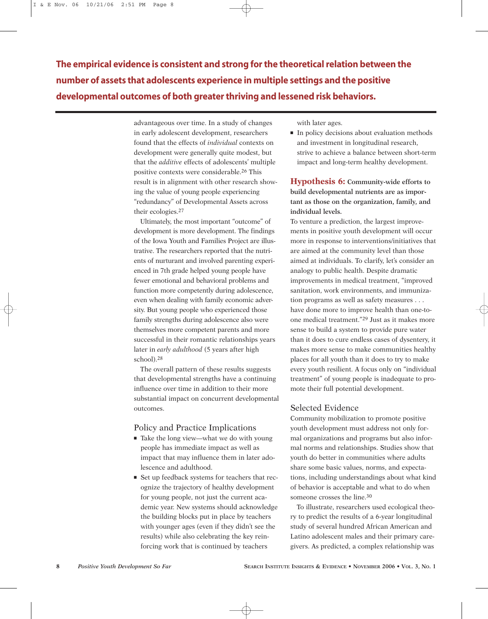**The empirical evidence is consistent and strong for the theoretical relation between the number of assets that adolescents experience in multiple settings and the positive developmental outcomes of both greater thriving and lessened risk behaviors.**

> advantageous over time. In a study of changes in early adolescent development, researchers found that the effects of *individual* contexts on development were generally quite modest, but that the *additive* effects of adolescents' multiple positive contexts were considerable.26 This result is in alignment with other research showing the value of young people experiencing "redundancy" of Developmental Assets across their ecologies.27

Ultimately, the most important "outcome" of development is more development. The findings of the Iowa Youth and Families Project are illustrative. The researchers reported that the nutrients of nurturant and involved parenting experienced in 7th grade helped young people have fewer emotional and behavioral problems and function more competently during adolescence, even when dealing with family economic adversity. But young people who experienced those family strengths during adolescence also were themselves more competent parents and more successful in their romantic relationships years later in *early adulthood* (5 years after high school).28

The overall pattern of these results suggests that developmental strengths have a continuing influence over time in addition to their more substantial impact on concurrent developmental outcomes.

### Policy and Practice Implications

- Take the long view—what we do with young people has immediate impact as well as impact that may influence them in later adolescence and adulthood.
- Set up feedback systems for teachers that recognize the trajectory of healthy development for young people, not just the current academic year. New systems should acknowledge the building blocks put in place by teachers with younger ages (even if they didn't see the results) while also celebrating the key reinforcing work that is continued by teachers

with later ages.

■ In policy decisions about evaluation methods and investment in longitudinal research, strive to achieve a balance between short-term impact and long-term healthy development.

**Hypothesis 6: Community-wide efforts to build developmental nutrients are as important as those on the organization, family, and individual levels.**

To venture a prediction, the largest improvements in positive youth development will occur more in response to interventions/initiatives that are aimed at the community level than those aimed at individuals. To clarify, let's consider an analogy to public health. Despite dramatic improvements in medical treatment, "improved sanitation, work environments, and immunization programs as well as safety measures . . . have done more to improve health than one-toone medical treatment."29 Just as it makes more sense to build a system to provide pure water than it does to cure endless cases of dysentery, it makes more sense to make communities healthy places for all youth than it does to try to make every youth resilient. A focus only on "individual treatment" of young people is inadequate to promote their full potential development.

# Selected Evidence

Community mobilization to promote positive youth development must address not only formal organizations and programs but also informal norms and relationships. Studies show that youth do better in communities where adults share some basic values, norms, and expectations, including understandings about what kind of behavior is acceptable and what to do when someone crosses the line.<sup>30</sup>

To illustrate, researchers used ecological theory to predict the results of a 6-year longitudinal study of several hundred African American and Latino adolescent males and their primary caregivers. As predicted, a complex relationship was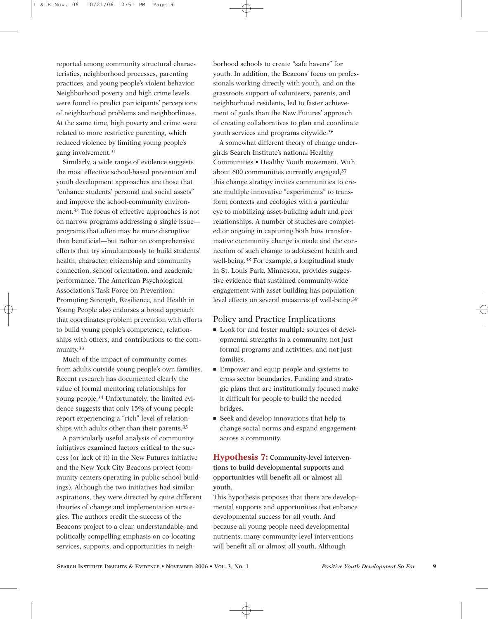reported among community structural characteristics, neighborhood processes, parenting practices, and young people's violent behavior. Neighborhood poverty and high crime levels were found to predict participants' perceptions of neighborhood problems and neighborliness. At the same time, high poverty and crime were related to more restrictive parenting, which reduced violence by limiting young people's gang involvement.31

Similarly, a wide range of evidence suggests the most effective school-based prevention and youth development approaches are those that "enhance students' personal and social assets" and improve the school-community environment.32 The focus of effective approaches is not on narrow programs addressing a single issue programs that often may be more disruptive than beneficial—but rather on comprehensive efforts that try simultaneously to build students' health, character, citizenship and community connection, school orientation, and academic performance. The American Psychological Association's Task Force on Prevention: Promoting Strength, Resilience, and Health in Young People also endorses a broad approach that coordinates problem prevention with efforts to build young people's competence, relationships with others, and contributions to the community.33

Much of the impact of community comes from adults outside young people's own families. Recent research has documented clearly the value of formal mentoring relationships for young people.34 Unfortunately, the limited evidence suggests that only 15% of young people report experiencing a "rich" level of relationships with adults other than their parents.35

A particularly useful analysis of community initiatives examined factors critical to the success (or lack of it) in the New Futures initiative and the New York City Beacons project (community centers operating in public school buildings). Although the two initiatives had similar aspirations, they were directed by quite different theories of change and implementation strategies. The authors credit the success of the Beacons project to a clear, understandable, and politically compelling emphasis on co-locating services, supports, and opportunities in neigh-

borhood schools to create "safe havens" for youth. In addition, the Beacons' focus on professionals working directly with youth, and on the grassroots support of volunteers, parents, and neighborhood residents, led to faster achievement of goals than the New Futures' approach of creating collaboratives to plan and coordinate youth services and programs citywide.36

A somewhat different theory of change undergirds Search Institute's national Healthy Communities • Healthy Youth movement. With about 600 communities currently engaged,37 this change strategy invites communities to create multiple innovative "experiments" to transform contexts and ecologies with a particular eye to mobilizing asset-building adult and peer relationships. A number of studies are completed or ongoing in capturing both how transformative community change is made and the connection of such change to adolescent health and well-being.38 For example, a longitudinal study in St. Louis Park, Minnesota, provides suggestive evidence that sustained community-wide engagement with asset building has populationlevel effects on several measures of well-being.39

### Policy and Practice Implications

- Look for and foster multiple sources of developmental strengths in a community, not just formal programs and activities, and not just families.
- Empower and equip people and systems to cross sector boundaries. Funding and strategic plans that are institutionally focused make it difficult for people to build the needed bridges.
- Seek and develop innovations that help to change social norms and expand engagement across a community.

# **Hypothesis 7: Community-level interventions to build developmental supports and opportunities will benefit all or almost all youth.**

This hypothesis proposes that there are developmental supports and opportunities that enhance developmental success for all youth. And because all young people need developmental nutrients, many community-level interventions will benefit all or almost all youth. Although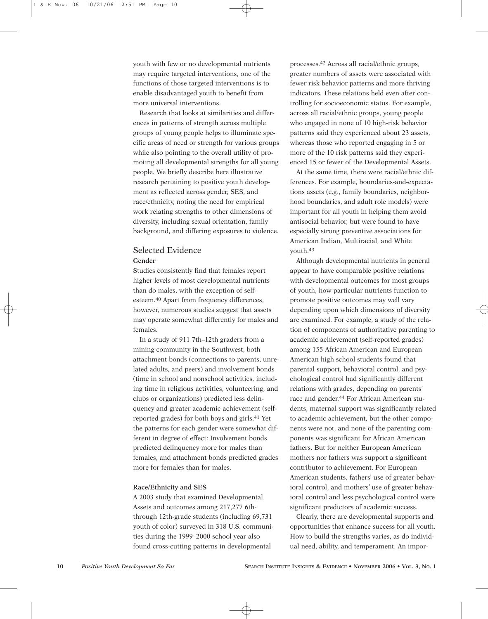youth with few or no developmental nutrients may require targeted interventions, one of the functions of those targeted interventions is to enable disadvantaged youth to benefit from more universal interventions.

Research that looks at similarities and differences in patterns of strength across multiple groups of young people helps to illuminate specific areas of need or strength for various groups while also pointing to the overall utility of promoting all developmental strengths for all young people. We briefly describe here illustrative research pertaining to positive youth development as reflected across gender, SES, and race/ethnicity, noting the need for empirical work relating strengths to other dimensions of diversity, including sexual orientation, family background, and differing exposures to violence.

### Selected Evidence **Gender**

Studies consistently find that females report higher levels of most developmental nutrients than do males, with the exception of selfesteem.40 Apart from frequency differences, however, numerous studies suggest that assets may operate somewhat differently for males and females.

In a study of 911 7th–12th graders from a mining community in the Southwest, both attachment bonds (connections to parents, unrelated adults, and peers) and involvement bonds (time in school and nonschool activities, including time in religious activities, volunteering, and clubs or organizations) predicted less delinquency and greater academic achievement (selfreported grades) for both boys and girls.41 Yet the patterns for each gender were somewhat different in degree of effect: Involvement bonds predicted delinquency more for males than females, and attachment bonds predicted grades more for females than for males.

#### **Race/Ethnicity and SES**

A 2003 study that examined Developmental Assets and outcomes among 217,277 6ththrough 12th-grade students (including 69,731 youth of color) surveyed in 318 U.S. communities during the 1999–2000 school year also found cross-cutting patterns in developmental

processes.42 Across all racial/ethnic groups, greater numbers of assets were associated with fewer risk behavior patterns and more thriving indicators. These relations held even after controlling for socioeconomic status. For example, across all racial/ethnic groups, young people who engaged in none of 10 high-risk behavior patterns said they experienced about 23 assets, whereas those who reported engaging in 5 or more of the 10 risk patterns said they experienced 15 or fewer of the Developmental Assets.

At the same time, there were racial/ethnic differences. For example, boundaries-and-expectations assets (e.g., family boundaries, neighborhood boundaries, and adult role models) were important for all youth in helping them avoid antisocial behavior, but were found to have especially strong preventive associations for American Indian, Multiracial, and White youth.43

Although developmental nutrients in general appear to have comparable positive relations with developmental outcomes for most groups of youth, how particular nutrients function to promote positive outcomes may well vary depending upon which dimensions of diversity are examined. For example, a study of the relation of components of authoritative parenting to academic achievement (self-reported grades) among 155 African American and European American high school students found that parental support, behavioral control, and psychological control had significantly different relations with grades, depending on parents' race and gender.<sup>44</sup> For African American students, maternal support was significantly related to academic achievement, but the other components were not, and none of the parenting components was significant for African American fathers. But for neither European American mothers nor fathers was support a significant contributor to achievement. For European American students, fathers' use of greater behavioral control, and mothers' use of greater behavioral control and less psychological control were significant predictors of academic success.

Clearly, there are developmental supports and opportunities that enhance success for all youth. How to build the strengths varies, as do individual need, ability, and temperament. An impor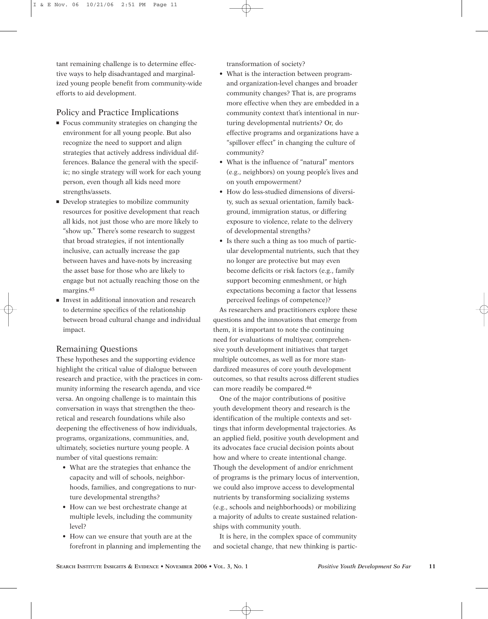tant remaining challenge is to determine effective ways to help disadvantaged and marginalized young people benefit from community-wide efforts to aid development.

# Policy and Practice Implications

- Focus community strategies on changing the environment for all young people. But also recognize the need to support and align strategies that actively address individual differences. Balance the general with the specific; no single strategy will work for each young person, even though all kids need more strengths/assets.
- Develop strategies to mobilize community resources for positive development that reach all kids, not just those who are more likely to "show up." There's some research to suggest that broad strategies, if not intentionally inclusive, can actually increase the gap between haves and have-nots by increasing the asset base for those who are likely to engage but not actually reaching those on the margins.45
- Invest in additional innovation and research to determine specifics of the relationship between broad cultural change and individual impact.

# Remaining Questions

These hypotheses and the supporting evidence highlight the critical value of dialogue between research and practice, with the practices in community informing the research agenda, and vice versa. An ongoing challenge is to maintain this conversation in ways that strengthen the theoretical and research foundations while also deepening the effectiveness of how individuals, programs, organizations, communities, and, ultimately, societies nurture young people. A number of vital questions remain:

- What are the strategies that enhance the capacity and will of schools, neighborhoods, families, and congregations to nurture developmental strengths?
- How can we best orchestrate change at multiple levels, including the community level?
- How can we ensure that youth are at the forefront in planning and implementing the

transformation of society?

- What is the interaction between programand organization-level changes and broader community changes? That is, are programs more effective when they are embedded in a community context that's intentional in nurturing developmental nutrients? Or, do effective programs and organizations have a "spillover effect" in changing the culture of community?
- What is the influence of "natural" mentors (e.g., neighbors) on young people's lives and on youth empowerment?
- How do less-studied dimensions of diversity, such as sexual orientation, family background, immigration status, or differing exposure to violence, relate to the delivery of developmental strengths?
- Is there such a thing as too much of particular developmental nutrients, such that they no longer are protective but may even become deficits or risk factors (e.g., family support becoming enmeshment, or high expectations becoming a factor that lessens perceived feelings of competence)?

As researchers and practitioners explore these questions and the innovations that emerge from them, it is important to note the continuing need for evaluations of multiyear, comprehensive youth development initiatives that target multiple outcomes, as well as for more standardized measures of core youth development outcomes, so that results across different studies can more readily be compared.46

One of the major contributions of positive youth development theory and research is the identification of the multiple contexts and settings that inform developmental trajectories. As an applied field, positive youth development and its advocates face crucial decision points about how and where to create intentional change. Though the development of and/or enrichment of programs is the primary locus of intervention, we could also improve access to developmental nutrients by transforming socializing systems (e.g., schools and neighborhoods) or mobilizing a majority of adults to create sustained relationships with community youth.

It is here, in the complex space of community and societal change, that new thinking is partic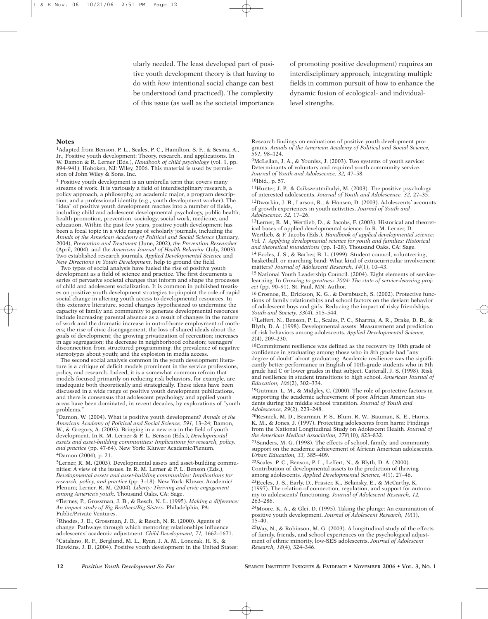ularly needed. The least developed part of positive youth development theory is that having to do with *how* intentional social change can best be understood (and practiced). The complexity of this issue (as well as the societal importance

of promoting positive development) requires an interdisciplinary approach, integrating multiple fields in common pursuit of how to enhance the dynamic fusion of ecological- and individuallevel strengths.

#### **Notes**

1Adapted from Benson, P. L., Scales, P. C., Hamilton, S. F., & Sesma, A., Jr., Positive youth development: Theory, research, and applications. In W. Damon & R. Lerner (Eds.), *Handbook of child psychology* (vol. 1, pp. 894–941). Hoboken, NJ: Wiley, 2006. This material is used by permission of John Wiley & Sons, Inc.

2 Positive youth development is an umbrella term that covers many streams of work. It is variously a field of interdisciplinary research, a policy approach, a philosophy, an academic major, a program description, and a professional identity (e.g., youth development worker). The "idea" of positive youth development reaches into a number of fields, including child and adolescent developmental psychology, public health, health promotion, prevention, sociology, social work, medicine, and education. Within the past few years, positive youth development has been a focal topic in a wide range of scholarly journals, including the *Annals of the American Academy of Political and Social Science* (January, 2004), *Prevention and Treatment* (June, 2002), *the Prevention Researcher* (April, 2004), and the *American Journal of Health Behavior* (July, 2003). Two established research journals, *Applied Developmental Science* and *New Directions in Youth Development,* help to ground the field.

Two types of social analysis have fueled the rise of positive youth development as a field of science and practice. The first documents a series of pervasive societal changes that inform and shape the processes of child and adolescent socialization. It is common in published treatises on positive youth development strategies to pinpoint the role of rapid social change in altering youth access to developmental resources. In this extensive literature, social changes hypothesized to undermine the capacity of family and community to generate developmental resources include increasing parental absence as a result of changes in the nature of work and the dramatic increase in out-of-home employment of mothers; the rise of civic disengagement; the loss of shared ideals about the goals of development; the growing privatization of recreation; increases in age segregation; the decrease in neighborhood cohesion; teenagers' disconnection from structured programming; the prevalence of negative stereotypes about youth; and the explosion in media access.

The second social analysis common in the youth development literature is a critique of deficit models prominent in the service professions, policy, and research. Indeed, it is a somewhat common refrain that models focused primarily on reducing risk behaviors, for example, are inadequate both theoretically and strategically. These ideas have been discussed in a wide range of positive youth development publications, and there is consensus that adolescent psychology and applied youth areas have been dominated, in recent decades, by explorations of "youth problems."

3Damon, W. (2004). What is positive youth development? *Annals of the American Academy of Political and Social Science, 591,* 13–24; Damon, W., & Gregory, A. (2003). Bringing in a new era in the field of youth development. In R. M. Lerner & P. L. Benson (Eds.), *Developmental assets and asset-building communities: Implications for research, policy, and practice* (pp. 47-64). New York: Kluwer Academic/Plenum. 4Damon (2004), p. 21.

5Lerner, R. M. (2003). Developmental assets and asset-building communities: A view of the issues. In R. M. Lerner & P. L. Benson (Eds.), *Developmental assets and asset-building communities: Implications for research, policy, and practice* (pp. 3–18). New York: Kluwer Academic/ Plenum; Lerner, R. M. (2004). *Liberty: Thriving and civic engagement among America's youth.* Thousand Oaks, CA: Sage.

6Tierney, P., Grossman, J. B., & Resch, N. L. (1995). *Making a difference: An impact study of Big Brothers/Big Sisters.* Philadelphia, PA: Public/Private Ventures.

7Rhodes, J. E., Grossman, J. B., & Resch, N. R. (2000). Agents of change: Pathways through which mentoring relationships influence adolescents' academic adjustment. *Child Development, 71,* 1662–1671. 8Catalano, R. F., Berglund, M. L., Ryan, J. A. M., Lonczak, H. S., & Hawkins, J. D. (2004). Positive youth development in the United States: Research findings on evaluations of positive youth development programs. *Annals of the American Academy of Political and Social Science, 591,* 98–124.

9McLellan, J. A., & Youniss, J. (2003). Two systems of youth service: Determinants of voluntary and required youth community service. *Journal of Youth and Adolescence*, *32,* 47–58.

10Ibid., p. 57.

11Hunter, J. P., & Csikszentmihalyi, M. (2003). The positive psychology of interested adolescents. *Journal of Youth and Adolescence, 32,* 27–35. 12Dworkin, J. B., Larson, R., & Hansen, D. (2003). Adolescents' accounts of growth experiences in youth activities. *Journal of Youth and*

*Adolescence, 32,* 17–26. 13Lerner, R. M., Wertlieb, D., & Jacobs, F. (2003). Historical and theoretical bases of applied developmental science. In R. M. Lerner, D. Wertlieb, & F. Jacobs (Eds.), *Handbook of applied developmental science: Vol. 1. Applying developmental science for youth and families: Historical*

*and theoretical foundations* (pp. 1-28). Thousand Oaks, CA: Sage. 14 Eccles, J. S., & Barber, B. L. (1999). Student council, volunteering, basketball, or marching band: What kind of extracurricular involvement

matters? *Journal of Adolescent Research, 14*(1), 10–43. 15 National Youth Leadership Council. (2004). Eight elements of servicelearning. In *Growing to greatness 2004: The state of service-learning project* (pp. 90–91). St. Paul, MN: Author.

16 Crosnoe, R., Erickson, K. G., & Dornbusch, S. (2002). Protective functions of family relationships and school factors on the deviant behavior of adolescent boys and girls: Reducing the impact of risky friendships. *Youth and Society, 33*(4), 515–544.

17Leffert, N., Benson, P. L., Scales, P. C., Sharma, A. R., Drake, D. R., & Blyth, D. A. (1998). Developmental assets: Measurement and prediction of risk behaviors among adolescents. *Applied Developmental Science, 2*(4), 209–230.

18Commitment resilience was defined as the recovery by 10th grade of confidence in graduating among those who in 8th grade had "any degree of doubt" about graduating. Academic resilience was the significantly better performance in English of 10th-grade students who in 8th grade had C or lower grades in that subject. Catterall, J. S. (1998). Risk and resilience in student transitions to high school. *American Journal of Education, 106*(2), 302–334.

19Gutman, L. M., & Midgley, C. (2000). The role of protective factors in supporting the academic achievement of poor African American students during the middle school transition. *Journal of Youth and Adolescence, 29*(2), 223–248.

20Resnick, M. D., Bearman, P. S., Blum, R. W., Bauman, K. E., Harris, K. M., & Jones, J. (1997). Protecting adolescents from harm: Findings from the National Longitudinal Study on Adolescent Health. *Journal of the American Medical Association, 278*(10), 823–832.

21Sanders, M. G. (1998). The effects of school, family, and community support on the academic achievement of African American adolescents. *Urban Education, 33,* 385–409.

22Scales, P. C., Benson, P. L., Leffert, N., & Blyth, D. A. (2000). Contribution of developmental assets to the prediction of thriving among adolescents. *Applied Developmental Science, 4*(1), 27–46. 23Eccles, J. S., Early, D., Frasier, K., Belansky, E., & McCarthy, K.

(1997). The relation of connection, regulation, and support for autonomy to adolescents' functioning. *Journal of Adolescent Research, 12,* 263–286.

24Moore, K. A., & Glei, D. (1995). Taking the plunge: An examination of positive youth development. *Journal of Adolescent Research, 10*(1),  $\hat{1}5-40.$ 

25Way, N., & Robinson, M. G. (2003). A longitudinal study of the effects of family, friends, and school experiences on the psychological adjustment of ethnic minority, low-SES adolescents. *Journal of Adolescent Research, 18*(4), 324–346.